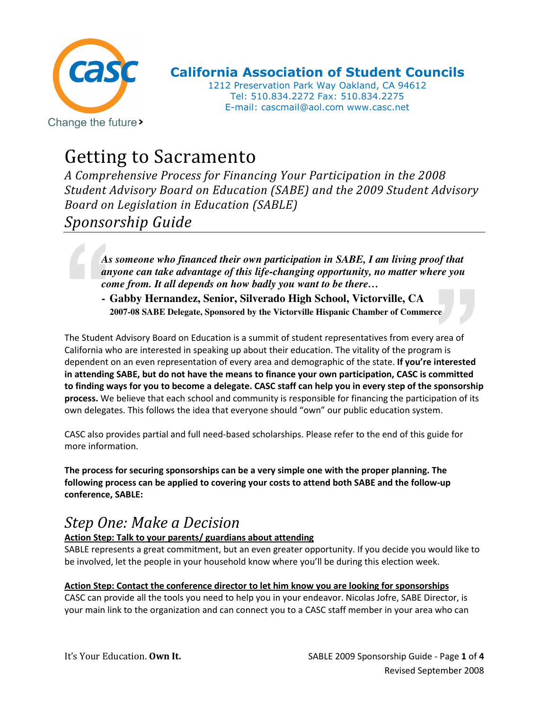

California Association of Student Councils

1212 Preservation Park Way Oakland, CA 94612 Tel: 510.834.2272 Fax: 510.834.2275 E-mail: cascmail@aol.com www.casc.net

# Getting to Sacramento

A Comprehensive Process for Financing Your Participation in the 2008 Student Advisory Board on Education (SABE) and the 2009 Student Advisory Board on Legislation in Education (SABLE) Sponsorship Guide

*As someone who financed their own participation in SABE, I am living proof that anyone can take advantage of this life-changing opportunity, no matter where you come from. It all depends on how badly you want to be there…*

**- Gabby Hernandez, Senior, Silverado High School, Victorville, CA 2007-08 SABE Delegate, Sponsored by the Victorville Hispanic Chamber of Commerce** 

The Student Advisory Board on Education is a summit of student representatives from every area of California who are interested in speaking up about their education. The vitality of the program is dependent on an even representation of every area and demographic of the state. If you're interested in attending SABE, but do not have the means to finance your own participation, CASC is committed to finding ways for you to become a delegate. CASC staff can help you in every step of the sponsorship process. We believe that each school and community is responsible for financing the participation of its own delegates. This follows the idea that everyone should "own" our public education system.

CASC also provides partial and full need-based scholarships. Please refer to the end of this guide for more information.

The process for securing sponsorships can be a very simple one with the proper planning. The following process can be applied to covering your costs to attend both SABE and the follow-up conference, SABLE:

### Step One: Make a Decision

### Action Step: Talk to your parents/ guardians about attending

SABLE represents a great commitment, but an even greater opportunity. If you decide you would like to be involved, let the people in your household know where you'll be during this election week.

#### Action Step: Contact the conference director to let him know you are looking for sponsorships

CASC can provide all the tools you need to help you in your endeavor. Nicolas Jofre, SABE Director, is your main link to the organization and can connect you to a CASC staff member in your area who can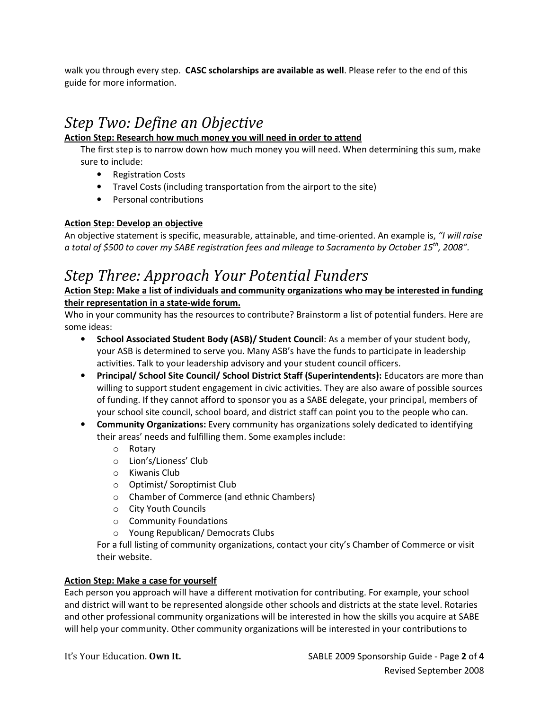walk you through every step. CASC scholarships are available as well. Please refer to the end of this guide for more information.

## Step Two: Define an Objective

#### Action Step: Research how much money you will need in order to attend

The first step is to narrow down how much money you will need. When determining this sum, make sure to include:

- Registration Costs
- Travel Costs (including transportation from the airport to the site)
- Personal contributions

#### Action Step: Develop an objective

An objective statement is specific, measurable, attainable, and time-oriented. An example is, "I will raise a total of \$500 to cover my SABE registration fees and mileage to Sacramento by October 15<sup>th</sup>, 2008".

### Step Three: Approach Your Potential Funders

Action Step: Make a list of individuals and community organizations who may be interested in funding their representation in a state-wide forum.

Who in your community has the resources to contribute? Brainstorm a list of potential funders. Here are some ideas:

- School Associated Student Body (ASB)/ Student Council: As a member of your student body, your ASB is determined to serve you. Many ASB's have the funds to participate in leadership activities. Talk to your leadership advisory and your student council officers.
- Principal/ School Site Council/ School District Staff (Superintendents): Educators are more than willing to support student engagement in civic activities. They are also aware of possible sources of funding. If they cannot afford to sponsor you as a SABE delegate, your principal, members of your school site council, school board, and district staff can point you to the people who can.
- Community Organizations: Every community has organizations solely dedicated to identifying their areas' needs and fulfilling them. Some examples include:
	- o Rotary
	- o Lion's/Lioness' Club
	- o Kiwanis Club
	- o Optimist/ Soroptimist Club
	- o Chamber of Commerce (and ethnic Chambers)
	- o City Youth Councils
	- o Community Foundations
	- o Young Republican/ Democrats Clubs

For a full listing of community organizations, contact your city's Chamber of Commerce or visit their website.

#### Action Step: Make a case for yourself

Each person you approach will have a different motivation for contributing. For example, your school and district will want to be represented alongside other schools and districts at the state level. Rotaries and other professional community organizations will be interested in how the skills you acquire at SABE will help your community. Other community organizations will be interested in your contributions to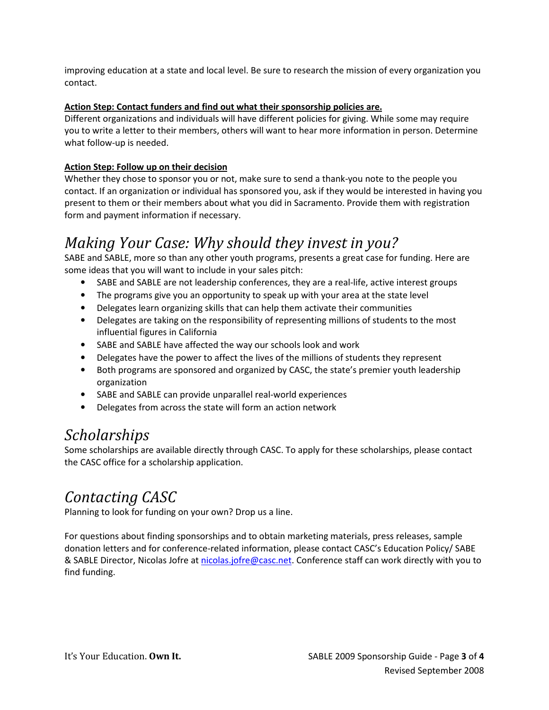improving education at a state and local level. Be sure to research the mission of every organization you contact.

#### Action Step: Contact funders and find out what their sponsorship policies are.

Different organizations and individuals will have different policies for giving. While some may require you to write a letter to their members, others will want to hear more information in person. Determine what follow-up is needed.

#### Action Step: Follow up on their decision

Whether they chose to sponsor you or not, make sure to send a thank-you note to the people you contact. If an organization or individual has sponsored you, ask if they would be interested in having you present to them or their members about what you did in Sacramento. Provide them with registration form and payment information if necessary.

### Making Your Case: Why should they invest in you?

SABE and SABLE, more so than any other youth programs, presents a great case for funding. Here are some ideas that you will want to include in your sales pitch:

- SABE and SABLE are not leadership conferences, they are a real-life, active interest groups
- The programs give you an opportunity to speak up with your area at the state level
- Delegates learn organizing skills that can help them activate their communities
- Delegates are taking on the responsibility of representing millions of students to the most influential figures in California
- SABE and SABLE have affected the way our schools look and work
- Delegates have the power to affect the lives of the millions of students they represent
- Both programs are sponsored and organized by CASC, the state's premier youth leadership organization
- SABE and SABLE can provide unparallel real-world experiences
- Delegates from across the state will form an action network

### **Scholarships**

Some scholarships are available directly through CASC. To apply for these scholarships, please contact the CASC office for a scholarship application.

### Contacting CASC

Planning to look for funding on your own? Drop us a line.

For questions about finding sponsorships and to obtain marketing materials, press releases, sample donation letters and for conference-related information, please contact CASC's Education Policy/ SABE & SABLE Director, Nicolas Jofre at nicolas.jofre@casc.net. Conference staff can work directly with you to find funding.